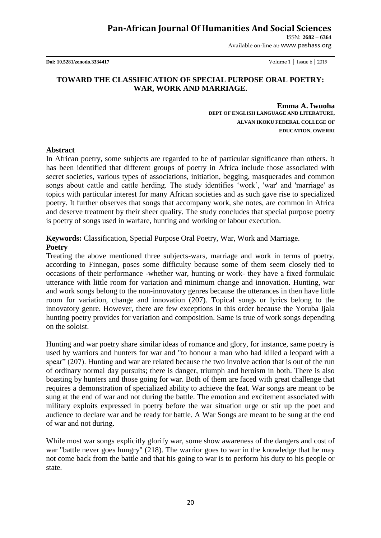ISSN: **2682 – 6364**

Available on-line at**:** www.pashass.org

**Doi: 10.5281/zenodo.3334417** Volume 1 │ Issue 6│ 2019

## **TOWARD THE CLASSIFICATION OF SPECIAL PURPOSE ORAL POETRY: WAR, WORK AND MARRIAGE.**

**Emma A. Iwuoha DEPT OF ENGLISH LANGUAGE AND LITERATURE, ALVAN IKOKU FEDERAL COLLEGE OF EDUCATION, OWERRI** 

#### **Abstract**

In African poetry, some subjects are regarded to be of particular significance than others. It has been identified that different groups of poetry in Africa include those associated with secret societies, various types of associations, initiation, begging, masquerades and common songs about cattle and cattle herding. The study identifies 'work', 'war' and 'marriage' as topics with particular interest for many African societies and as such gave rise to specialized poetry. It further observes that songs that accompany work, she notes, are common in Africa and deserve treatment by their sheer quality. The study concludes that special purpose poetry is poetry of songs used in warfare, hunting and working or labour execution.

### **Keywords:** Classification, Special Purpose Oral Poetry, War, Work and Marriage. **Poetry**

Treating the above mentioned three subjects-wars, marriage and work in terms of poetry, according to Finnegan, poses some difficulty because some of them seem closely tied to occasions of their performance -whether war, hunting or work- they have a fixed formulaic utterance with little room for variation and minimum change and innovation. Hunting, war and work songs belong to the non-innovatory genres because the utterances in then have little room for variation, change and innovation (207). Topical songs or lyrics belong to the innovatory genre. However, there are few exceptions in this order because the Yoruba Ijala hunting poetry provides for variation and composition. Same is true of work songs depending on the soloist.

Hunting and war poetry share similar ideas of romance and glory, for instance, same poetry is used by warriors and hunters for war and "to honour a man who had killed a leopard with a spear" (207). Hunting and war are related because the two involve action that is out of the run of ordinary normal day pursuits; there is danger, triumph and heroism in both. There is also boasting by hunters and those going for war. Both of them are faced with great challenge that requires a demonstration of specialized ability to achieve the feat. War songs are meant to be sung at the end of war and not during the battle. The emotion and excitement associated with military exploits expressed in poetry before the war situation urge or stir up the poet and audience to declare war and be ready for battle. A War Songs are meant to be sung at the end of war and not during.

While most war songs explicitly glorify war, some show awareness of the dangers and cost of war "battle never goes hungry" (218). The warrior goes to war in the knowledge that he may not come back from the battle and that his going to war is to perform his duty to his people or state.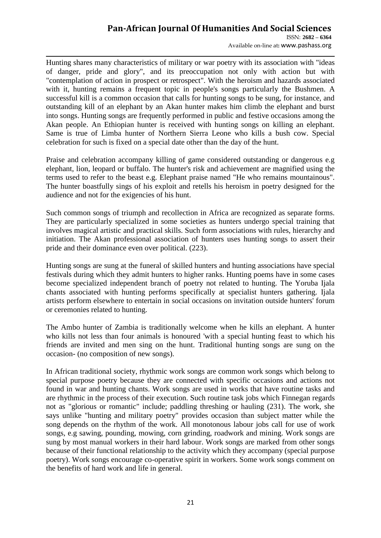ISSN: **2682 – 6364** Available on-line at**:** www.pashass.org

Hunting shares many characteristics of military or war poetry with its association with "ideas of danger, pride and glory", and its preoccupation not only with action but with "contemplation of action in prospect or retrospect". With the heroism and hazards associated with it, hunting remains a frequent topic in people's songs particularly the Bushmen. A successful kill is a common occasion that calls for hunting songs to be sung, for instance, and outstanding kill of an elephant by an Akan hunter makes him climb the elephant and burst into songs. Hunting songs are frequently performed in public and festive occasions among the Akan people. An Ethiopian hunter is received with hunting songs on killing an elephant. Same is true of Limba hunter of Northern Sierra Leone who kills a bush cow. Special celebration for such is fixed on a special date other than the day of the hunt.

Praise and celebration accompany killing of game considered outstanding or dangerous e.g elephant, lion, leopard or buffalo. The hunter's risk and achievement are magnified using the terms used to refer to the beast e.g. Elephant praise named "He who remains mountainous". The hunter boastfully sings of his exploit and retells his heroism in poetry designed for the audience and not for the exigencies of his hunt.

Such common songs of triumph and recollection in Africa are recognized as separate forms. They are particularly specialized in some societies as hunters undergo special training that involves magical artistic and practical skills. Such form associations with rules, hierarchy and initiation. The Akan professional association of hunters uses hunting songs to assert their pride and their dominance even over political. (223).

Hunting songs are sung at the funeral of skilled hunters and hunting associations have special festivals during which they admit hunters to higher ranks. Hunting poems have in some cases become specialized independent branch of poetry not related to hunting. The Yoruba Ijala chants associated with hunting performs specifically at specialist hunters gathering. Ijala artists perform elsewhere to entertain in social occasions on invitation outside hunters' forum or ceremonies related to hunting.

The Ambo hunter of Zambia is traditionally welcome when he kills an elephant. A hunter who kills not less than four animals is honoured 'with a special hunting feast to which his friends are invited and men sing on the hunt. Traditional hunting songs are sung on the occasion- (no composition of new songs).

In African traditional society, rhythmic work songs are common work songs which belong to special purpose poetry because they are connected with specific occasions and actions not found in war and hunting chants. Work songs are used in works that have routine tasks and are rhythmic in the process of their execution. Such routine task jobs which Finnegan regards not as "glorious or romantic" include; paddling threshing or hauling (231). The work, she says unlike "hunting and military poetry" provides occasion than subject matter while the song depends on the rhythm of the work. All monotonous labour jobs call for use of work songs, e.g sawing, pounding, mowing, corn grinding, roadwork and mining. Work songs are sung by most manual workers in their hard labour. Work songs are marked from other songs because of their functional relationship to the activity which they accompany (special purpose poetry). Work songs encourage co-operative spirit in workers. Some work songs comment on the benefits of hard work and life in general.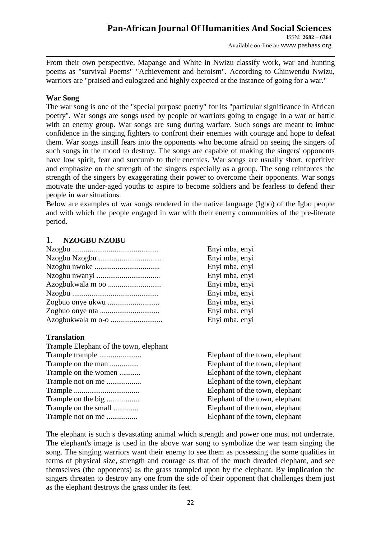Available on-line at**:** www.pashass.org

From their own perspective, Mapange and White in Nwizu classify work, war and hunting poems as "survival Poems" "Achievement and heroism". According to Chinwendu Nwizu, warriors are "praised and eulogized and highly expected at the instance of going for a war."

### **War Song**

The war song is one of the "special purpose poetry" for its "particular significance in African poetry". War songs are songs used by people or warriors going to engage in a war or battle with an enemy group. War songs are sung during warfare. Such songs are meant to imbue confidence in the singing fighters to confront their enemies with courage and hope to defeat them. War songs instill fears into the opponents who become afraid on seeing the singers of such songs in the mood to destroy. The songs are capable of making the singers' opponents have low spirit, fear and succumb to their enemies. War songs are usually short, repetitive and emphasize on the strength of the singers especially as a group. The song reinforces the strength of the singers by exaggerating their power to overcome their opponents. War songs motivate the under-aged youths to aspire to become soldiers and be fearless to defend their people in war situations.

Below are examples of war songs rendered in the native language (Igbo) of the Igbo people and with which the people engaged in war with their enemy communities of the pre-literate period.

# 1. **NZOGBU NZOBU**

| Enyi mba, enyi |
|----------------|
| Enyi mba, enyi |
| Enyi mba, enyi |
| Enyi mba, enyi |
| Enyi mba, enyi |
| Enyi mba, enyi |
| Enyi mba, enyi |
| Enyi mba, enyi |
| Enyi mba, enyi |
|                |

## **Translation**

| Trample Elephant of the town, elephant |                                |
|----------------------------------------|--------------------------------|
|                                        | Elephant of the town, elephant |
| Trample on the man                     | Elephant of the town, elephant |
| Trample on the women                   | Elephant of the town, elephant |
| Trample not on me                      | Elephant of the town, elephant |
|                                        | Elephant of the town, elephant |
| Trample on the big                     | Elephant of the town, elephant |
| Trample on the small                   | Elephant of the town, elephant |
| Trample not on me                      | Elephant of the town, elephant |
|                                        |                                |

The elephant is such s devastating animal which strength and power one must not underrate. The elephant's image is used in the above war song to symbolize the war team singing the song. The singing warriors want their enemy to see them as possessing the some qualities in terms of physical size, strength and courage as that of the much dreaded elephant, and see themselves (the opponents) as the grass trampled upon by the elephant. By implication the singers threaten to destroy any one from the side of their opponent that challenges them just as the elephant destroys the grass under its feet.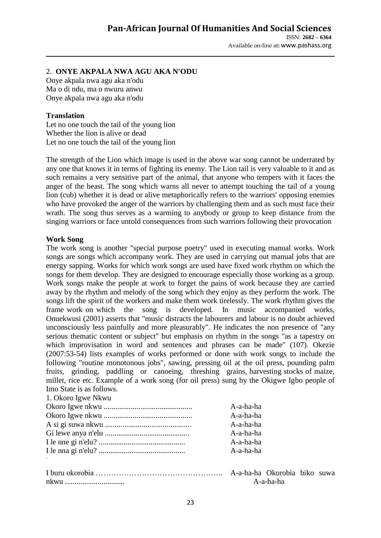Available on-line at**:** www.pashass.org

## 2. **ONYE AKPALA NWA AGU AKA N'ODU**

Onye akpala nwa agu aka n'odu Ma o di ndu, ma o nwuru anwu Onye akpala nwa agu aka n'odu

### **Translation**

Let no one touch the tail of the young lion Whether the lion is alive or dead Let no one touch the tail of the young lion

The strength of the Lion which image is used in the above war song cannot be underrated by any one that knows it in terms of fighting its enemy. The Lion tail is very valuable to it and as such remains a very sensitive part of the animal, that anyone who tempers with it faces the anger of the beast. The song which warns all never to attempt touching the tail of a young lion (cub) whether it is dead or alive metaphorically refers to the warriors' opposing enemies who have provoked the anger of the warriors by challenging them and as such must face their wrath. The song thus serves as a warming to anybody or group to keep distance from the singing warriors or face untold consequences from such warriors following their provocation

### **Work Song**

The work song is another "special purpose poetry" used in executing manual works. Work songs are songs which accompany work. They are used in carrying out manual jobs that are energy sapping. Works for which work songs are used have fixed work rhythm on which the songs for them develop. They are designed to encourage especially those working as a group. Work songs make the people at work to forget the pains of work because they are carried away by the rhythm and melody of the song which they enjoy as they perform the work. The songs lift the spirit of the workers and make them work tirelessly. The work rhythm gives the frame work on which the song is developed. In music accompanied works, Onuekwusi (2001) asserts that "music distracts the labourers and labour is no doubt achieved unconsciously less painfully and more pleasurably". He indicates the non presence of "any serious thematic content or subject" but emphasis on rhythm in the songs "as a tapestry on which improvisation in word and sentences and phrases can be made" (107). Okezie (2007:53-54) lists examples of works performed or done with work songs to include the following "routine monotonous jobs", sawing, pressing oil at the oil press, pounding palm fruits, grinding, paddling or canoeing, threshing grains, harvesting stocks of maize, millet, rice etc. Example of a work song (for oil press) sung by the Okigwe Igbo people of Imo State is as follows. 1. Okoro Igwe Nkwu

| 1. UKOIO Igwe inkwu |           |
|---------------------|-----------|
|                     | A-a-ha-ha |
|                     | A-a-ha-ha |
|                     | A-a-ha-ha |
|                     | A-a-ha-ha |
|                     | A-a-ha-ha |
|                     | A-a-ha-ha |
|                     |           |
|                     |           |

I buru okorobia  $\ldots$ 

nkwu ..................................

| A-a-ha-ha Okorobia biko suwa |           |  |
|------------------------------|-----------|--|
|                              | A-a-ha-ha |  |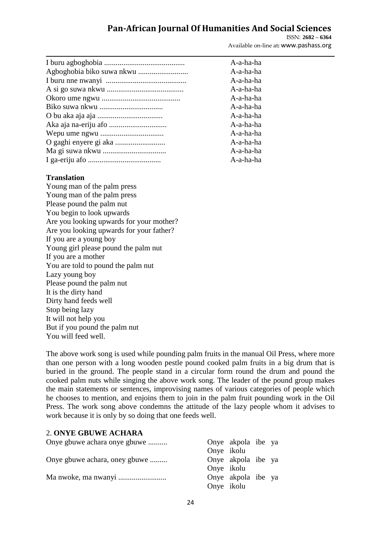A-a-ha-ha A-a-ha-ha A-a-ha-ha  $A$ -a-ha-ha A-a-ha-ha  $A-a-ha-ha$ A-a-ha-ha  $A-a-ha-ha$  $A$ -a-ha-ha A-a-ha-ha  $A$ -a-ha-ha  $A-a-ha-ha$ 

ISSN: **2682 – 6364** Available on-line at**:** www.pashass.org

### **Translation**

Young man of the palm press Young man of the palm press Please pound the palm nut You begin to look upwards Are you looking upwards for your mother? Are you looking upwards for your father? If you are a young boy Young girl please pound the palm nut If you are a mother You are told to pound the palm nut Lazy young boy Please pound the palm nut It is the dirty hand Dirty hand feeds well Stop being lazy It will not help you But if you pound the palm nut You will feed well.

The above work song is used while pounding palm fruits in the manual Oil Press, where more than one person with a long wooden pestle pound cooked palm fruits in a big drum that is buried in the ground. The people stand in a circular form round the drum and pound the cooked palm nuts while singing the above work song. The leader of the pound group makes the main statements or sentences, improvising names of various categories of people which he chooses to mention, and enjoins them to join in the palm fruit pounding work in the Oil Press. The work song above condemns the attitude of the lazy people whom it advises to work because it is only by so doing that one feeds well.

# 2. **ONYE GBUWE ACHARA**

| Onye gbuwe achara onye gbuwe  |            | Onye akpola ibe ya |  |
|-------------------------------|------------|--------------------|--|
|                               | Onye ikolu |                    |  |
| Onye gbuwe achara, oney gbuwe |            | Onye akpola ibe ya |  |
|                               | Onye ikolu |                    |  |
|                               |            | Onye akpola ibe ya |  |
|                               | Onye ikolu |                    |  |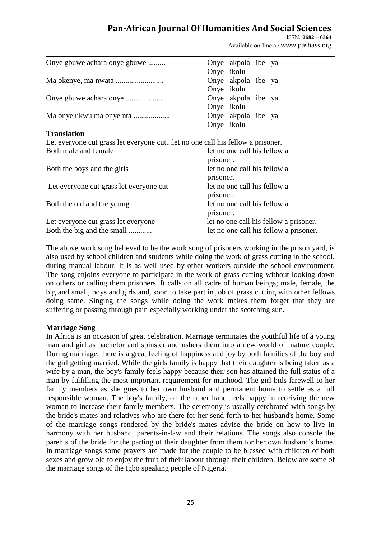ISSN: **2682 – 6364** Available on-line at**:** www.pashass.org

| Onye gbuwe achara onye gbuwe |            | Onye akpola ibe ya |  |
|------------------------------|------------|--------------------|--|
|                              | Onye ikolu |                    |  |
|                              |            | Onye akpola ibe ya |  |
|                              | Onye ikolu |                    |  |
|                              |            | Onye akpola ibe ya |  |
|                              | Onye ikolu |                    |  |
| Ma onye ukwu ma onye nta     |            | Onye akpola ibe ya |  |
|                              | Onye ikolu |                    |  |
| <b>Translation</b>           |            |                    |  |

### **Translation**

Let everyone cut grass let everyone cut...let no one call his fellow a prisoner.<br>Both male and female let no one call his fellow a

|                                         | prisoner.                                 |
|-----------------------------------------|-------------------------------------------|
| Both the boys and the girls             | let no one call his fellow a<br>prisoner. |
| Let everyone cut grass let everyone cut | let no one call his fellow a<br>prisoner. |
| Both the old and the young              | let no one call his fellow a<br>prisoner. |
| Let everyone cut grass let everyone     | let no one call his fellow a prisoner.    |
| Both the big and the small              | let no one call his fellow a prisoner.    |

The above work song believed to be the work song of prisoners working in the prison yard, is also used by school children and students while doing the work of grass cutting in the school, during manual labour. It is as well used by other workers outside the school environment. The song enjoins everyone to participate in the work of grass cutting without looking down on others or calling them prisoners. It calls on all cadre of human beings; male, female, the big and small, boys and girls and, soon to take part in job of grass cutting with other fellows doing same. Singing the songs while doing the work makes them forget that they are suffering or passing through pain especially working under the scotching sun.

### **Marriage Song**

In Africa is an occasion of great celebration. Marriage terminates the youthful life of a young man and girl as bachelor and spinster and ushers them into a new world of mature couple. During marriage, there is a great feeling of happiness and joy by both families of the boy and the girl getting married. While the girls family is happy that their daughter is being taken as a wife by a man, the boy's family feels happy because their son has attained the full status of a man by fulfilling the most important requirement for manhood. The girl bids farewell to her family members as she goes to her own husband and permanent home to settle as a full responsible woman. The boy's family, on the other hand feels happy in receiving the new woman to increase their family members. The ceremony is usually cerebrated with songs by the bride's mates and relatives who are there for her send forth to her husband's home. Some of the marriage songs rendered by the bride's mates advise the bride on how to live in harmony with her husband, parents-in-law and their relations. The songs also console the parents of the bride for the parting of their daughter from them for her own husband's home. In marriage songs some prayers are made for the couple to be blessed with children of both sexes and grow old to enjoy the fruit of their labour through their children. Below are some of the marriage songs of the Igbo speaking people of Nigeria.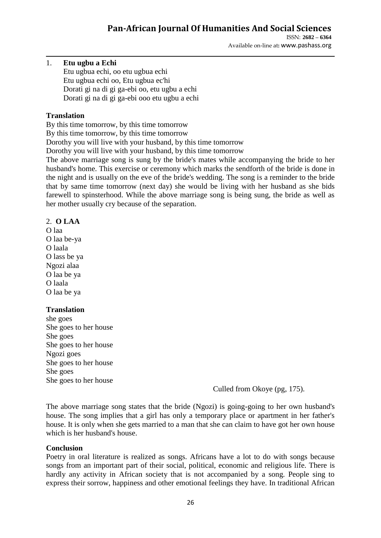ISSN: **2682 – 6364** Available on-line at**:** www.pashass.org

### 1. **Etu ugbu a Echi**

Etu ugbua echi, oo etu ugbua echi Etu ugbua echi oo, Etu ugbua ec'hi Dorati gi na di gi ga-ebi oo, etu ugbu a echi Dorati gi na di gi ga-ebi ooo etu ugbu a echi

### **Translation**

By this time tomorrow, by this time tomorrow

By this time tomorrow, by this time tomorrow

Dorothy you will live with your husband, by this time tomorrow

Dorothy you will live with your husband, by this time tomorrow

The above marriage song is sung by the bride's mates while accompanying the bride to her husband's home. This exercise or ceremony which marks the sendforth of the bride is done in the night and is usually on the eve of the bride's wedding. The song is a reminder to the bride that by same time tomorrow (next day) she would be living with her husband as she bids farewell to spinsterhood. While the above marriage song is being sung, the bride as well as her mother usually cry because of the separation.

### 2. **O LAA**

O laa O laa be-ya O laala O lass be ya Ngozi alaa O laa be ya O laala O laa be ya

## **Translation**

she goes She goes to her house She goes She goes to her house Ngozi goes She goes to her house She goes She goes to her house

Culled from Okoye (pg, 175).

The above marriage song states that the bride (Ngozi) is going-going to her own husband's house. The song implies that a girl has only a temporary place or apartment in her father's house. It is only when she gets married to a man that she can claim to have got her own house which is her husband's house.

### **Conclusion**

Poetry in oral literature is realized as songs. Africans have a lot to do with songs because songs from an important part of their social, political, economic and religious life. There is hardly any activity in African society that is not accompanied by a song. People sing to express their sorrow, happiness and other emotional feelings they have. In traditional African